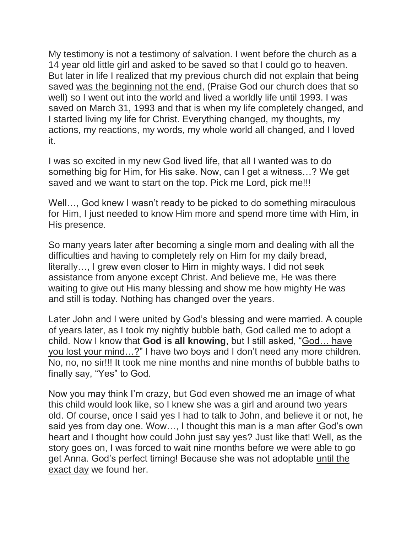My testimony is not a testimony of salvation. I went before the church as a 14 year old little girl and asked to be saved so that I could go to heaven. But later in life I realized that my previous church did not explain that being saved was the beginning not the end, (Praise God our church does that so well) so I went out into the world and lived a worldly life until 1993. I was saved on March 31, 1993 and that is when my life completely changed, and I started living my life for Christ. Everything changed, my thoughts, my actions, my reactions, my words, my whole world all changed, and I loved it.

I was so excited in my new God lived life, that all I wanted was to do something big for Him, for His sake. Now, can I get a witness…? We get saved and we want to start on the top. Pick me Lord, pick me!!!

Well…, God knew I wasn't ready to be picked to do something miraculous for Him, I just needed to know Him more and spend more time with Him, in His presence.

So many years later after becoming a single mom and dealing with all the difficulties and having to completely rely on Him for my daily bread, literally…, I grew even closer to Him in mighty ways. I did not seek assistance from anyone except Christ. And believe me, He was there waiting to give out His many blessing and show me how mighty He was and still is today. Nothing has changed over the years.

Later John and I were united by God's blessing and were married. A couple of years later, as I took my nightly bubble bath, God called me to adopt a child. Now I know that **God is all knowing**, but I still asked, "God… have you lost your mind…?" I have two boys and I don't need any more children. No, no, no sir!!! It took me nine months and nine months of bubble baths to finally say, "Yes" to God.

Now you may think I'm crazy, but God even showed me an image of what this child would look like, so I knew she was a girl and around two years old. Of course, once I said yes I had to talk to John, and believe it or not, he said yes from day one. Wow…, I thought this man is a man after God's own heart and I thought how could John just say yes? Just like that! Well, as the story goes on, I was forced to wait nine months before we were able to go get Anna. God's perfect timing! Because she was not adoptable until the exact day we found her.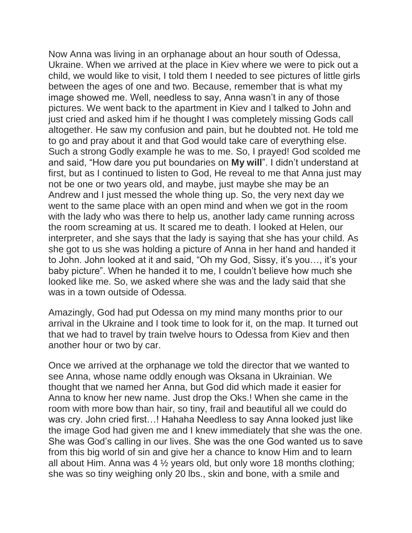Now Anna was living in an orphanage about an hour south of Odessa, Ukraine. When we arrived at the place in Kiev where we were to pick out a child, we would like to visit, I told them I needed to see pictures of little girls between the ages of one and two. Because, remember that is what my image showed me. Well, needless to say, Anna wasn't in any of those pictures. We went back to the apartment in Kiev and I talked to John and just cried and asked him if he thought I was completely missing Gods call altogether. He saw my confusion and pain, but he doubted not. He told me to go and pray about it and that God would take care of everything else. Such a strong Godly example he was to me. So, I prayed! God scolded me and said, "How dare you put boundaries on **My will**". I didn't understand at first, but as I continued to listen to God, He reveal to me that Anna just may not be one or two years old, and maybe, just maybe she may be an Andrew and I just messed the whole thing up. So, the very next day we went to the same place with an open mind and when we got in the room with the lady who was there to help us, another lady came running across the room screaming at us. It scared me to death. I looked at Helen, our interpreter, and she says that the lady is saying that she has your child. As she got to us she was holding a picture of Anna in her hand and handed it to John. John looked at it and said, "Oh my God, Sissy, it's you…, it's your baby picture". When he handed it to me, I couldn't believe how much she looked like me. So, we asked where she was and the lady said that she was in a town outside of Odessa.

Amazingly, God had put Odessa on my mind many months prior to our arrival in the Ukraine and I took time to look for it, on the map. It turned out that we had to travel by train twelve hours to Odessa from Kiev and then another hour or two by car.

Once we arrived at the orphanage we told the director that we wanted to see Anna, whose name oddly enough was Oksana in Ukrainian. We thought that we named her Anna, but God did which made it easier for Anna to know her new name. Just drop the Oks.! When she came in the room with more bow than hair, so tiny, frail and beautiful all we could do was cry. John cried first...! Hahaha Needless to say Anna looked just like the image God had given me and I knew immediately that she was the one. She was God's calling in our lives. She was the one God wanted us to save from this big world of sin and give her a chance to know Him and to learn all about Him. Anna was 4  $\frac{1}{2}$  years old, but only wore 18 months clothing; she was so tiny weighing only 20 lbs., skin and bone, with a smile and